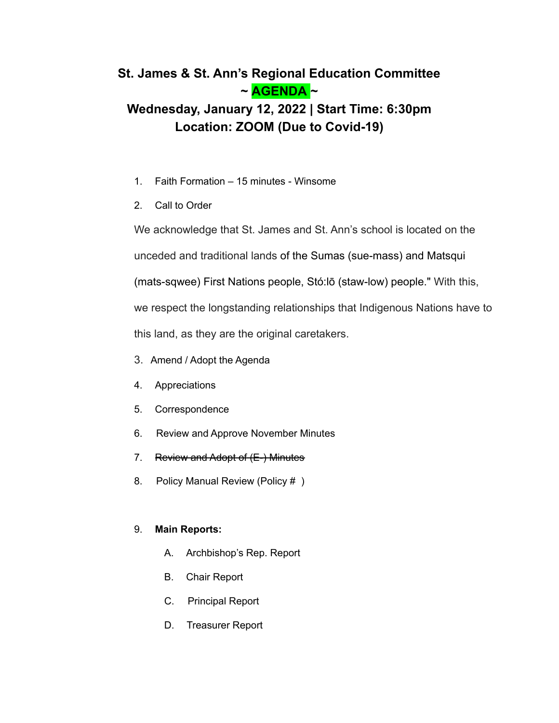# **St. James & St. Ann's Regional Education Committee ~ AGENDA ~**

# **Wednesday, January 12, 2022 | Start Time: 6:30pm Location: ZOOM (Due to Covid-19)**

- 1. Faith Formation 15 minutes Winsome
- 2. Call to Order

We acknowledge that St. James and St. Ann's school is located on the unceded and traditional lands of the Sumas (sue-mass) and Matsqui (mats-sqwee) First Nations people, Stó:lō (staw-low) people." With this, we respect the longstanding relationships that Indigenous Nations have to this land, as they are the original caretakers.

- 3. Amend / Adopt the Agenda
- 4. Appreciations
- 5. Correspondence
- 6. Review and Approve November Minutes
- 7. Review and Adopt of (E-) Minutes
- 8. Policy Manual Review (Policy #)

## 9. **Main Reports:**

- A. Archbishop's Rep. Report
- B. Chair Report
- C. Principal Report
- D. Treasurer Report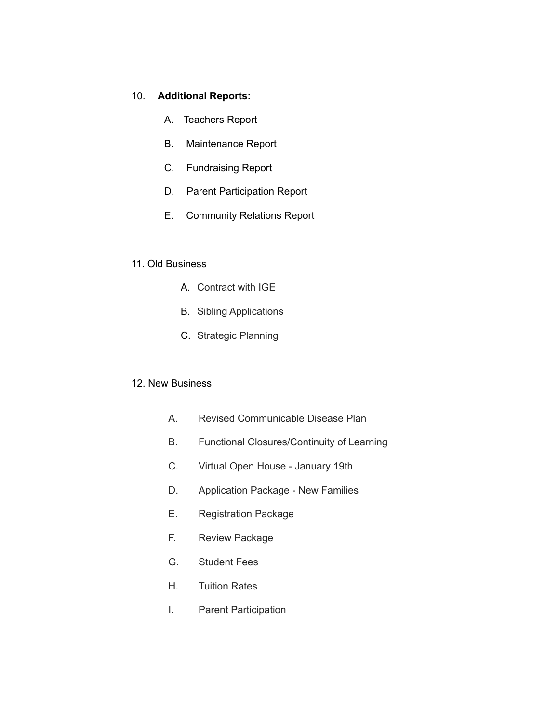#### 10. **Additional Reports:**

- A. Teachers Report
- B. Maintenance Report
- C. Fundraising Report
- D. Parent Participation Report
- E. Community Relations Report

### 11. Old Business

- A. Contract with IGE
- B. Sibling Applications
- C. Strategic Planning

### 12. New Business

- A. Revised Communicable Disease Plan
- B. Functional Closures/Continuity of Learning
- C. Virtual Open House January 19th
- D. Application Package New Families
- E. Registration Package
- F. Review Package
- G. Student Fees
- H. Tuition Rates
- I. Parent Participation